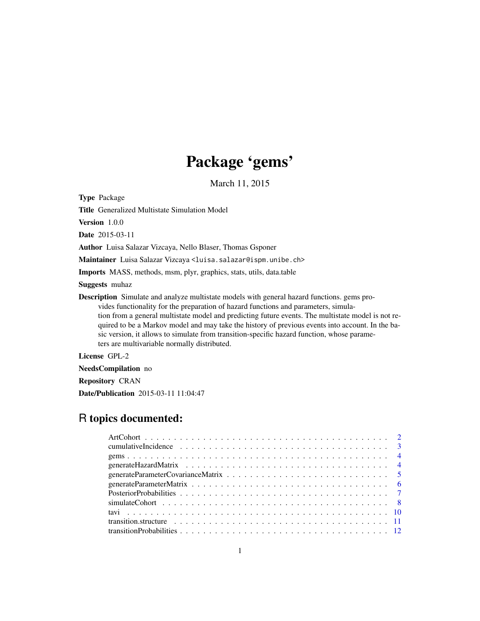# Package 'gems'

March 11, 2015

Type Package

Title Generalized Multistate Simulation Model

Version 1.0.0

Date 2015-03-11

Author Luisa Salazar Vizcaya, Nello Blaser, Thomas Gsponer

Maintainer Luisa Salazar Vizcaya <luisa.salazar@ispm.unibe.ch>

Imports MASS, methods, msm, plyr, graphics, stats, utils, data.table

Suggests muhaz

Description Simulate and analyze multistate models with general hazard functions. gems provides functionality for the preparation of hazard functions and parameters, simulation from a general multistate model and predicting future events. The multistate model is not required to be a Markov model and may take the history of previous events into account. In the basic version, it allows to simulate from transition-specific hazard function, whose parameters are multivariable normally distributed.

License GPL-2

NeedsCompilation no

Repository CRAN

Date/Publication 2015-03-11 11:04:47

# R topics documented: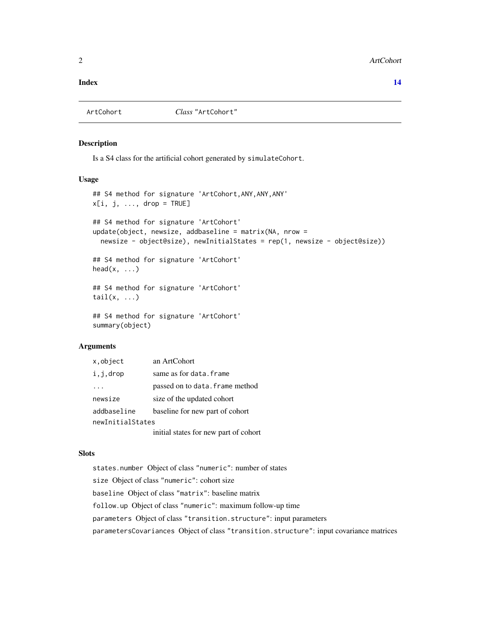#### <span id="page-1-0"></span>**Index** 2008 **[14](#page-13-0)**

<span id="page-1-1"></span>

#### Description

Is a S4 class for the artificial cohort generated by simulateCohort.

#### Usage

```
## S4 method for signature 'ArtCohort,ANY,ANY,ANY'
x[i, j, \ldots, drop = TRUE]## S4 method for signature 'ArtCohort'
update(object, newsize, addbaseline = matrix(NA, nrow =
  newsize - object@size), newInitialStates = rep(1, newsize - object@size))
## S4 method for signature 'ArtCohort'
head(x, \ldots)## S4 method for signature 'ArtCohort'
tail(x, ...)
## S4 method for signature 'ArtCohort'
summary(object)
```
#### Arguments

| x.object         | an ArtCohort                          |
|------------------|---------------------------------------|
| i,j,drop         | same as for data. frame               |
|                  | passed on to data. frame method       |
| newsize          | size of the updated cohort            |
| addbaseline      | baseline for new part of cohort       |
| newInitialStates |                                       |
|                  | initial states for new part of cohort |

#### Slots

states.number Object of class "numeric": number of states size Object of class "numeric": cohort size baseline Object of class "matrix": baseline matrix follow.up Object of class "numeric": maximum follow-up time parameters Object of class "transition.structure": input parameters parametersCovariances Object of class "transition.structure": input covariance matrices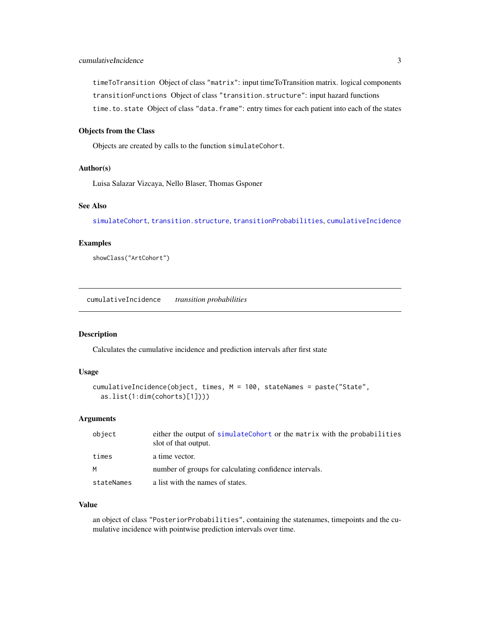<span id="page-2-0"></span>timeToTransition Object of class "matrix": input timeToTransition matrix. logical components transitionFunctions Object of class "transition.structure": input hazard functions time.to.state Object of class "data.frame": entry times for each patient into each of the states

#### Objects from the Class

Objects are created by calls to the function simulateCohort.

#### Author(s)

Luisa Salazar Vizcaya, Nello Blaser, Thomas Gsponer

# See Also

[simulateCohort](#page-7-1), [transition.structure](#page-10-1), [transitionProbabilities](#page-11-1), [cumulativeIncidence](#page-2-1)

#### Examples

showClass("ArtCohort")

<span id="page-2-1"></span>cumulativeIncidence *transition probabilities*

#### Description

Calculates the cumulative incidence and prediction intervals after first state

#### Usage

```
cumulativeIncidence(object, times, M = 100, stateNames = paste("State",
  as.list(1:dim(cohorts)[1])))
```
#### Arguments

| object     | either the output of simulateCohort or the matrix with the probabilities<br>slot of that output. |
|------------|--------------------------------------------------------------------------------------------------|
| times      | a time vector.                                                                                   |
| M          | number of groups for calculating confidence intervals.                                           |
| stateNames | a list with the names of states.                                                                 |

#### Value

an object of class "PosteriorProbabilities", containing the statenames, timepoints and the cumulative incidence with pointwise prediction intervals over time.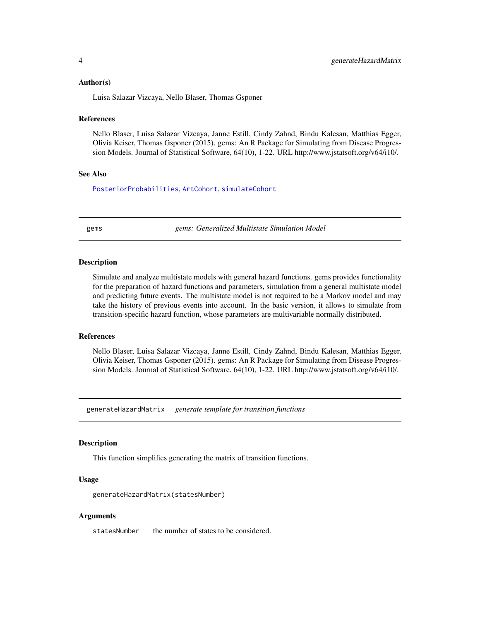#### <span id="page-3-0"></span>Author(s)

Luisa Salazar Vizcaya, Nello Blaser, Thomas Gsponer

#### **References**

Nello Blaser, Luisa Salazar Vizcaya, Janne Estill, Cindy Zahnd, Bindu Kalesan, Matthias Egger, Olivia Keiser, Thomas Gsponer (2015). gems: An R Package for Simulating from Disease Progression Models. Journal of Statistical Software, 64(10), 1-22. URL http://www.jstatsoft.org/v64/i10/.

#### See Also

[PosteriorProbabilities](#page-6-1), [ArtCohort](#page-1-1), [simulateCohort](#page-7-1)

gems *gems: Generalized Multistate Simulation Model*

#### Description

Simulate and analyze multistate models with general hazard functions. gems provides functionality for the preparation of hazard functions and parameters, simulation from a general multistate model and predicting future events. The multistate model is not required to be a Markov model and may take the history of previous events into account. In the basic version, it allows to simulate from transition-specific hazard function, whose parameters are multivariable normally distributed.

#### References

Nello Blaser, Luisa Salazar Vizcaya, Janne Estill, Cindy Zahnd, Bindu Kalesan, Matthias Egger, Olivia Keiser, Thomas Gsponer (2015). gems: An R Package for Simulating from Disease Progression Models. Journal of Statistical Software, 64(10), 1-22. URL http://www.jstatsoft.org/v64/i10/.

<span id="page-3-1"></span>generateHazardMatrix *generate template for transition functions*

#### Description

This function simplifies generating the matrix of transition functions.

#### Usage

generateHazardMatrix(statesNumber)

#### Arguments

statesNumber the number of states to be considered.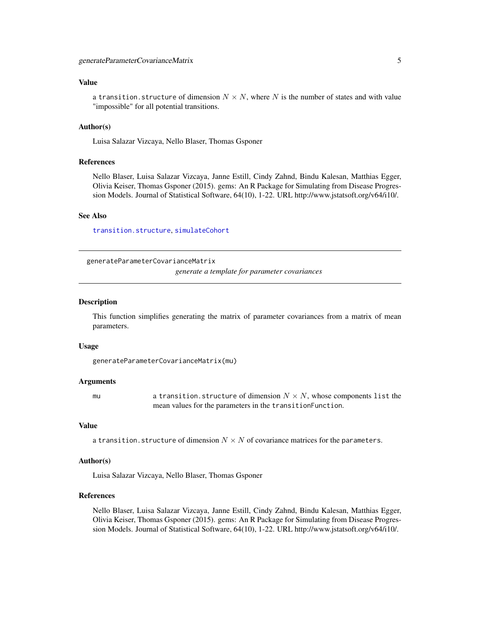#### <span id="page-4-0"></span>Value

a transition.structure of dimension  $N \times N$ , where N is the number of states and with value "impossible" for all potential transitions.

#### Author(s)

Luisa Salazar Vizcaya, Nello Blaser, Thomas Gsponer

#### References

Nello Blaser, Luisa Salazar Vizcaya, Janne Estill, Cindy Zahnd, Bindu Kalesan, Matthias Egger, Olivia Keiser, Thomas Gsponer (2015). gems: An R Package for Simulating from Disease Progression Models. Journal of Statistical Software, 64(10), 1-22. URL http://www.jstatsoft.org/v64/i10/.

#### See Also

[transition.structure](#page-10-1), [simulateCohort](#page-7-1)

<span id="page-4-1"></span>generateParameterCovarianceMatrix

*generate a template for parameter covariances*

#### Description

This function simplifies generating the matrix of parameter covariances from a matrix of mean parameters.

#### Usage

generateParameterCovarianceMatrix(mu)

#### Arguments

mu a transition.structure of dimension  $N \times N$ , whose components list the mean values for the parameters in the transitionFunction.

#### Value

a transition.structure of dimension  $N \times N$  of covariance matrices for the parameters.

#### Author(s)

Luisa Salazar Vizcaya, Nello Blaser, Thomas Gsponer

#### References

Nello Blaser, Luisa Salazar Vizcaya, Janne Estill, Cindy Zahnd, Bindu Kalesan, Matthias Egger, Olivia Keiser, Thomas Gsponer (2015). gems: An R Package for Simulating from Disease Progression Models. Journal of Statistical Software, 64(10), 1-22. URL http://www.jstatsoft.org/v64/i10/.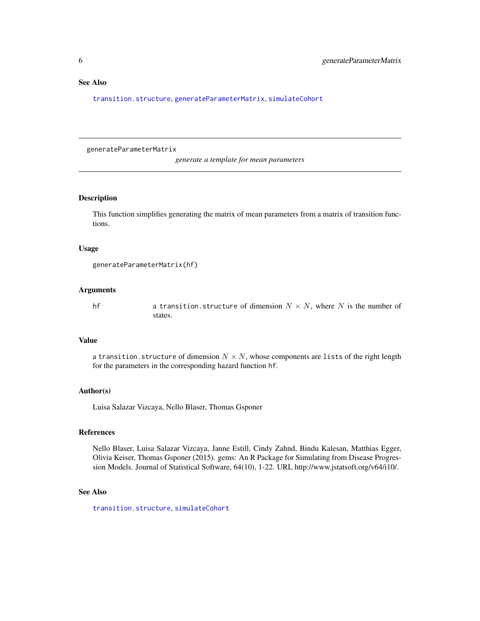#### <span id="page-5-0"></span>See Also

[transition.structure](#page-10-1), [generateParameterMatrix](#page-5-1), [simulateCohort](#page-7-1)

<span id="page-5-1"></span>generateParameterMatrix

*generate a template for mean parameters*

#### Description

This function simplifies generating the matrix of mean parameters from a matrix of transition functions.

#### Usage

```
generateParameterMatrix(hf)
```
#### Arguments

hf a transition.structure of dimension  $N \times N$ , where N is the number of states.

#### Value

a transition. structure of dimension  $N \times N$ , whose components are lists of the right length for the parameters in the corresponding hazard function hf.

#### Author(s)

Luisa Salazar Vizcaya, Nello Blaser, Thomas Gsponer

### References

Nello Blaser, Luisa Salazar Vizcaya, Janne Estill, Cindy Zahnd, Bindu Kalesan, Matthias Egger, Olivia Keiser, Thomas Gsponer (2015). gems: An R Package for Simulating from Disease Progression Models. Journal of Statistical Software, 64(10), 1-22. URL http://www.jstatsoft.org/v64/i10/.

#### See Also

[transition.structure](#page-10-1), [simulateCohort](#page-7-1)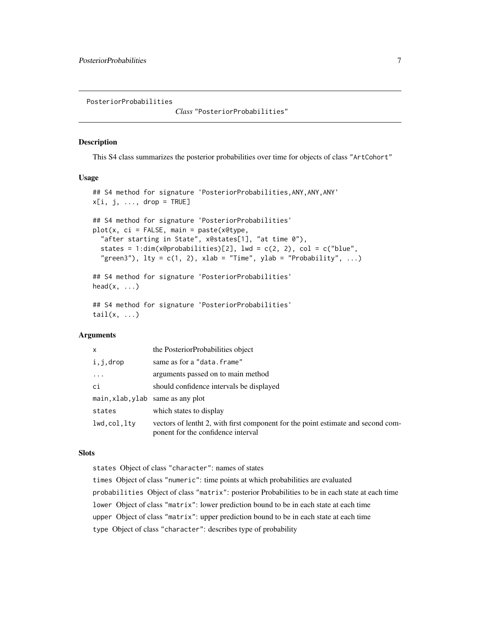<span id="page-6-1"></span><span id="page-6-0"></span>PosteriorProbabilities

*Class* "PosteriorProbabilities"

### Description

This S4 class summarizes the posterior probabilities over time for objects of class "ArtCohort"

#### Usage

```
## S4 method for signature 'PosteriorProbabilities, ANY, ANY, ANY'
x[i, j, ..., drop = TRUE]## S4 method for signature 'PosteriorProbabilities'
plot(x, ci = FALSE, main = paste(x@type,"after starting in State", x@states[1], "at time 0"),
  states = 1:dim(x@probabilities)[2], 1wd = c(2, 2), col = c("blue","green3"), lty = c(1, 2), xlab = "Time", ylab = "Probability", ...)## S4 method for signature 'PosteriorProbabilities'
head(x, \ldots)## S4 method for signature 'PosteriorProbabilities'
tail(x, \ldots)
```
#### Arguments

| $\mathsf{x}$                      | the PosteriorProbabilities object                                                                                      |
|-----------------------------------|------------------------------------------------------------------------------------------------------------------------|
| i,j,drop                          | same as for a "data.frame"                                                                                             |
| $\cdots$                          | arguments passed on to main method                                                                                     |
| ci                                | should confidence intervals be displayed                                                                               |
| main, xlab, ylab same as any plot |                                                                                                                        |
| states                            | which states to display                                                                                                |
| lwd.col.lty                       | vectors of lentht 2, with first component for the point estimate and second com-<br>ponent for the confidence interval |

#### Slots

states Object of class "character": names of states

times Object of class "numeric": time points at which probabilities are evaluated probabilities Object of class "matrix": posterior Probabilities to be in each state at each time lower Object of class "matrix": lower prediction bound to be in each state at each time upper Object of class "matrix": upper prediction bound to be in each state at each time type Object of class "character": describes type of probability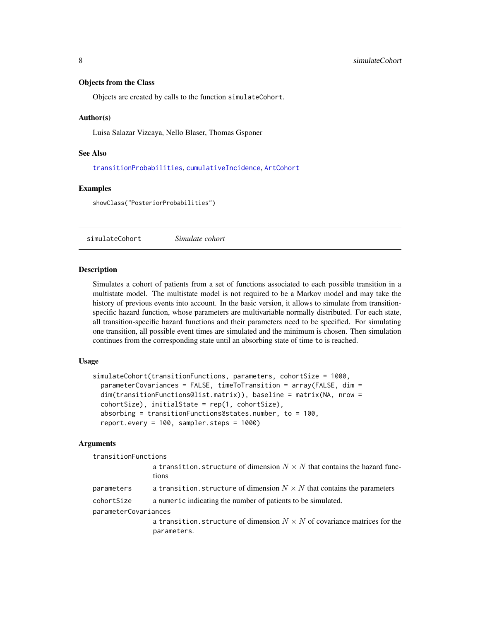#### <span id="page-7-0"></span>Objects from the Class

Objects are created by calls to the function simulateCohort.

#### Author(s)

Luisa Salazar Vizcaya, Nello Blaser, Thomas Gsponer

#### See Also

[transitionProbabilities](#page-11-1), [cumulativeIncidence](#page-2-1), [ArtCohort](#page-1-1)

#### Examples

showClass("PosteriorProbabilities")

<span id="page-7-1"></span>simulateCohort *Simulate cohort*

#### Description

Simulates a cohort of patients from a set of functions associated to each possible transition in a multistate model. The multistate model is not required to be a Markov model and may take the history of previous events into account. In the basic version, it allows to simulate from transitionspecific hazard function, whose parameters are multivariable normally distributed. For each state, all transition-specific hazard functions and their parameters need to be specified. For simulating one transition, all possible event times are simulated and the minimum is chosen. Then simulation continues from the corresponding state until an absorbing state of time to is reached.

#### Usage

```
simulateCohort(transitionFunctions, parameters, cohortSize = 1000,
 parameterCovariances = FALSE, timeToTransition = array(FALSE, dim =
 dim(transitionFunctions@list.matrix)), baseline = matrix(NA, nrow =
 cohortSize), initialState = rep(1, cohortSize),
 absorbing = transitionFunctions@states.number, to = 100,
 report.every = 100, sampler.steps = 1000)
```
#### Arguments

transitionFunctions

|                      | a transition.structure of dimension $N \times N$ that contains the hazard func-<br>tions        |
|----------------------|-------------------------------------------------------------------------------------------------|
| parameters           | a transition. structure of dimension $N \times N$ that contains the parameters                  |
| cohortSize           | a numeric indicating the number of patients to be simulated.                                    |
| parameterCovariances |                                                                                                 |
|                      | a transition, structure of dimension $N \times N$ of covariance matrices for the<br>parameters. |
|                      |                                                                                                 |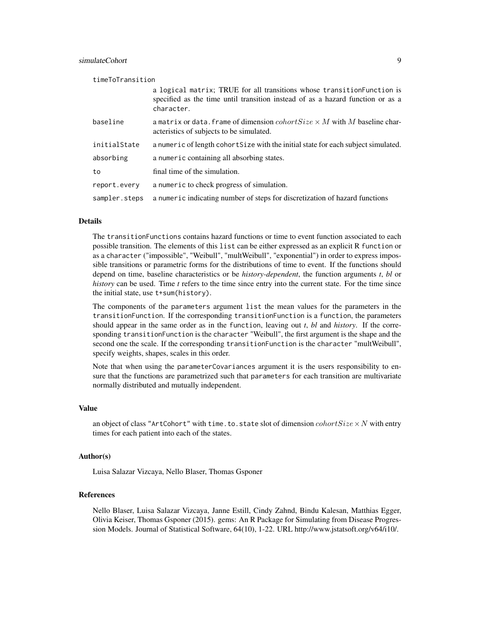| timeToTransition |                                                                                                                                                                         |  |
|------------------|-------------------------------------------------------------------------------------------------------------------------------------------------------------------------|--|
|                  | a logical matrix; TRUE for all transitions whose transition Function is<br>specified as the time until transition instead of as a hazard function or as a<br>character. |  |
| baseline         | a matrix or data. frame of dimension $\text{cohortSize} \times M$ with M baseline char-<br>acteristics of subjects to be simulated.                                     |  |
| initialState     | a numeric of length cohort Size with the initial state for each subject simulated.                                                                                      |  |
| absorbing        | a numeric containing all absorbing states.                                                                                                                              |  |
| to               | final time of the simulation.                                                                                                                                           |  |
| report.every     | a numeric to check progress of simulation.                                                                                                                              |  |
| sampler.steps    | a numeric indicating number of steps for discretization of hazard functions                                                                                             |  |

#### Details

The transitionFunctions contains hazard functions or time to event function associated to each possible transition. The elements of this list can be either expressed as an explicit R function or as a character ("impossible", "Weibull", "multWeibull", "exponential") in order to express impossible transitions or parametric forms for the distributions of time to event. If the functions should depend on time, baseline characteristics or be *history-dependent*, the function arguments *t*, *bl* or *history* can be used. Time *t* refers to the time since entry into the current state. For the time since the initial state, use t+sum(history).

The components of the parameters argument list the mean values for the parameters in the transitionFunction. If the corresponding transitionFunction is a function, the parameters should appear in the same order as in the function, leaving out *t*, *bl* and *history*. If the corresponding transitionFunction is the character "Weibull", the first argument is the shape and the second one the scale. If the corresponding transitionFunction is the character "multWeibull", specify weights, shapes, scales in this order.

Note that when using the parameterCovariances argument it is the users responsibility to ensure that the functions are parametrized such that parameters for each transition are multivariate normally distributed and mutually independent.

#### Value

an object of class "ArtCohort" with time.to.state slot of dimension  $cohortSize \times N$  with entry times for each patient into each of the states.

#### Author(s)

Luisa Salazar Vizcaya, Nello Blaser, Thomas Gsponer

#### References

Nello Blaser, Luisa Salazar Vizcaya, Janne Estill, Cindy Zahnd, Bindu Kalesan, Matthias Egger, Olivia Keiser, Thomas Gsponer (2015). gems: An R Package for Simulating from Disease Progression Models. Journal of Statistical Software, 64(10), 1-22. URL http://www.jstatsoft.org/v64/i10/.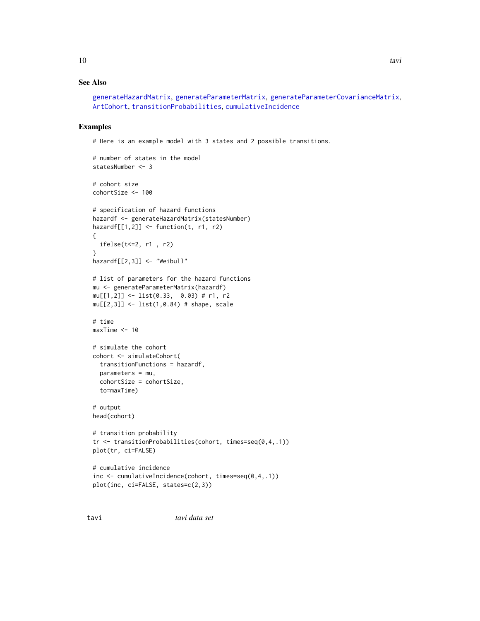# <span id="page-9-0"></span>See Also

```
generateHazardMatrix, generateParameterMatrix, generateParameterCovarianceMatrix,
ArtCohort, transitionProbabilities, cumulativeIncidence
```
#### Examples

# Here is an example model with 3 states and 2 possible transitions.

```
# number of states in the model
statesNumber <- 3
# cohort size
cohortSize <- 100
# specification of hazard functions
hazardf <- generateHazardMatrix(statesNumber)
hazardf[[1,2]] <- function(t, r1, r2)
{
  ifelse(t<=2, r1 , r2)
}
hazardf[[2,3]] <- "Weibull"
# list of parameters for the hazard functions
mu <- generateParameterMatrix(hazardf)
mu[[1,2]] <- list(0.33, 0.03) # r1, r2
mu[[2,3]] <- list(1,0.84) # shape, scale
# time
maxTime < -10# simulate the cohort
cohort <- simulateCohort(
  transitionFunctions = hazardf,
  parameters = mu,
  cohortSize = cohortSize,
  to=maxTime)
# output
head(cohort)
# transition probability
tr <- transitionProbabilities(cohort, times=seq(0,4,.1))
plot(tr, ci=FALSE)
# cumulative incidence
inc <- cumulativeIncidence(cohort, times=seq(0,4,.1))
plot(inc, ci=FALSE, states=c(2,3))
```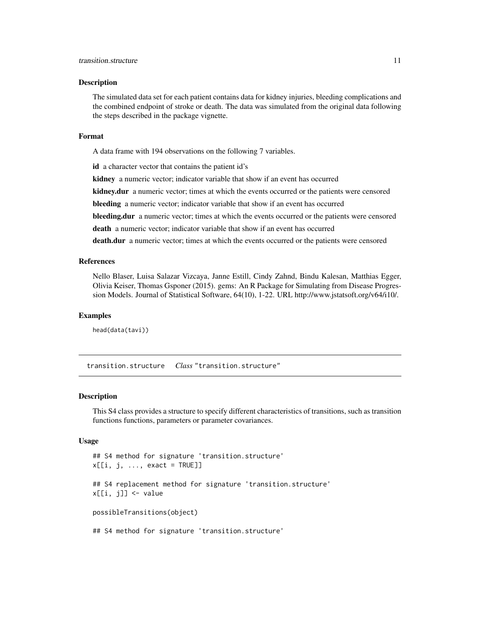#### <span id="page-10-0"></span>transition.structure 11

#### Description

The simulated data set for each patient contains data for kidney injuries, bleeding complications and the combined endpoint of stroke or death. The data was simulated from the original data following the steps described in the package vignette.

#### Format

A data frame with 194 observations on the following 7 variables.

id a character vector that contains the patient id's

kidney a numeric vector; indicator variable that show if an event has occurred

kidney.dur a numeric vector; times at which the events occurred or the patients were censored

bleeding a numeric vector; indicator variable that show if an event has occurred

bleeding.dur a numeric vector; times at which the events occurred or the patients were censored

death a numeric vector; indicator variable that show if an event has occurred

death.dur a numeric vector; times at which the events occurred or the patients were censored

#### References

Nello Blaser, Luisa Salazar Vizcaya, Janne Estill, Cindy Zahnd, Bindu Kalesan, Matthias Egger, Olivia Keiser, Thomas Gsponer (2015). gems: An R Package for Simulating from Disease Progression Models. Journal of Statistical Software, 64(10), 1-22. URL http://www.jstatsoft.org/v64/i10/.

#### Examples

head(data(tavi))

<span id="page-10-1"></span>transition.structure *Class* "transition.structure"

#### Description

This S4 class provides a structure to specify different characteristics of transitions, such as transition functions functions, parameters or parameter covariances.

#### Usage

```
## S4 method for signature 'transition.structure'
x[[i, j, ..., exact = TRUE]]## S4 replacement method for signature 'transition.structure'
x[[i, j]] <- value
possibleTransitions(object)
## S4 method for signature 'transition.structure'
```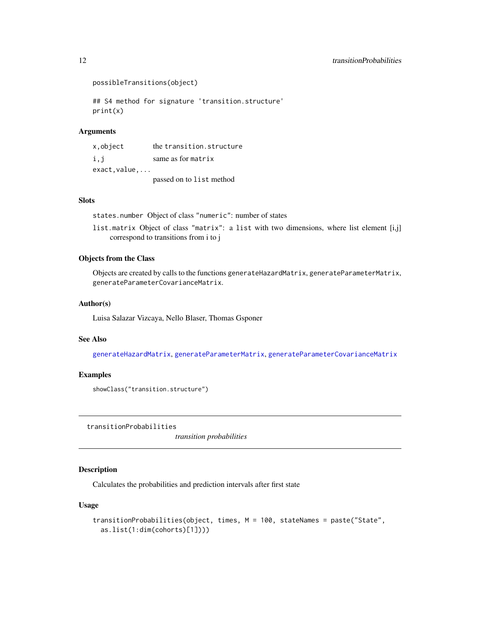```
possibleTransitions(object)
```

```
## S4 method for signature 'transition.structure'
print(x)
```
#### Arguments

| x.object      | the transition.structure |
|---------------|--------------------------|
| i, j          | same as for matrix       |
| $exact.value$ |                          |
|               | passed on to list method |

#### **Slots**

states.number Object of class "numeric": number of states

list.matrix Object of class "matrix": a list with two dimensions, where list element [i,j] correspond to transitions from i to j

#### Objects from the Class

Objects are created by calls to the functions generateHazardMatrix, generateParameterMatrix, generateParameterCovarianceMatrix.

#### Author(s)

Luisa Salazar Vizcaya, Nello Blaser, Thomas Gsponer

#### See Also

[generateHazardMatrix](#page-3-1), [generateParameterMatrix](#page-5-1), [generateParameterCovarianceMatrix](#page-4-1)

#### Examples

```
showClass("transition.structure")
```
<span id="page-11-1"></span>transitionProbabilities

*transition probabilities*

## Description

Calculates the probabilities and prediction intervals after first state

#### Usage

```
transitionProbabilities(object, times, M = 100, stateNames = paste("State",
 as.list(1:dim(cohorts)[1])))
```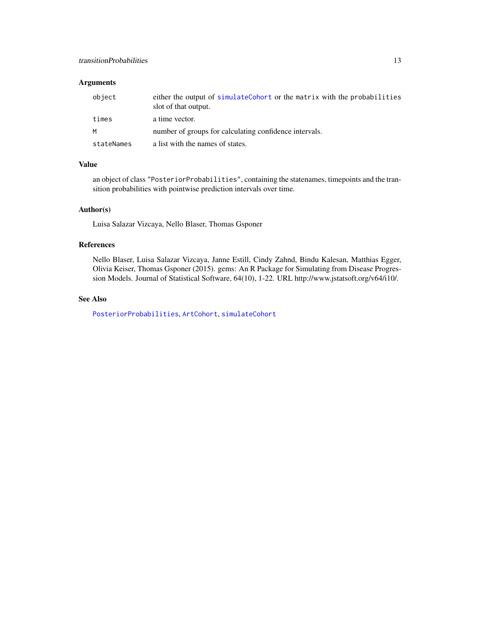#### <span id="page-12-0"></span>transitionProbabilities 13

#### Arguments

| object     | either the output of simulateCohort or the matrix with the probabilities<br>slot of that output. |
|------------|--------------------------------------------------------------------------------------------------|
| times      | a time vector.                                                                                   |
| M          | number of groups for calculating confidence intervals.                                           |
| stateNames | a list with the names of states.                                                                 |

# Value

an object of class "PosteriorProbabilities", containing the statenames, timepoints and the transition probabilities with pointwise prediction intervals over time.

#### Author(s)

Luisa Salazar Vizcaya, Nello Blaser, Thomas Gsponer

#### References

Nello Blaser, Luisa Salazar Vizcaya, Janne Estill, Cindy Zahnd, Bindu Kalesan, Matthias Egger, Olivia Keiser, Thomas Gsponer (2015). gems: An R Package for Simulating from Disease Progression Models. Journal of Statistical Software, 64(10), 1-22. URL http://www.jstatsoft.org/v64/i10/.

#### See Also

[PosteriorProbabilities](#page-6-1), [ArtCohort](#page-1-1), [simulateCohort](#page-7-1)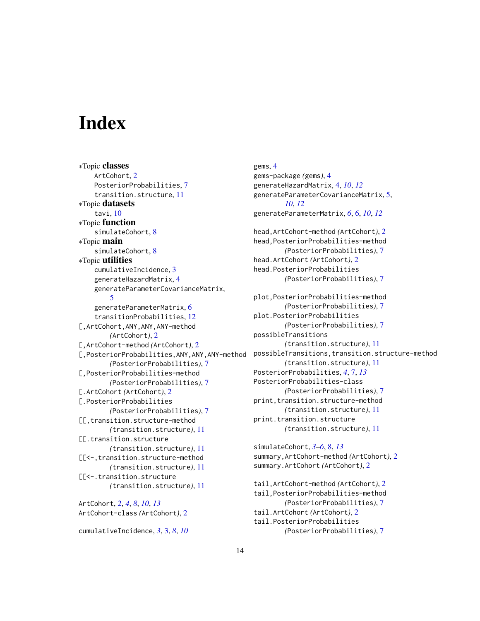# <span id="page-13-0"></span>**Index**

∗Topic classes ArtCohort, [2](#page-1-0) PosteriorProbabilities, [7](#page-6-0) transition.structure, [11](#page-10-0) ∗Topic datasets tavi, [10](#page-9-0) ∗Topic function simulateCohort, [8](#page-7-0) ∗Topic main simulateCohort, [8](#page-7-0) ∗Topic utilities cumulativeIncidence, [3](#page-2-0) generateHazardMatrix, [4](#page-3-0) generateParameterCovarianceMatrix, [5](#page-4-0) generateParameterMatrix, [6](#page-5-0) transitionProbabilities, [12](#page-11-0) [,ArtCohort,ANY,ANY,ANY-method *(*ArtCohort*)*, [2](#page-1-0) [,ArtCohort-method *(*ArtCohort*)*, [2](#page-1-0) [,PosteriorProbabilities,ANY,ANY,ANY-method *(*PosteriorProbabilities*)*, [7](#page-6-0) [,PosteriorProbabilities-method *(*PosteriorProbabilities*)*, [7](#page-6-0) [.ArtCohort *(*ArtCohort*)*, [2](#page-1-0) [.PosteriorProbabilities *(*PosteriorProbabilities*)*, [7](#page-6-0) [[,transition.structure-method *(*transition.structure*)*, [11](#page-10-0) [[.transition.structure *(*transition.structure*)*, [11](#page-10-0) [[<-,transition.structure-method *(*transition.structure*)*, [11](#page-10-0) [[<-.transition.structure *(*transition.structure*)*, [11](#page-10-0) ArtCohort, [2,](#page-1-0) *[4](#page-3-0)*, *[8](#page-7-0)*, *[10](#page-9-0)*, *[13](#page-12-0)* ArtCohort-class *(*ArtCohort*)*, [2](#page-1-0)

cumulativeIncidence, *[3](#page-2-0)*, [3,](#page-2-0) *[8](#page-7-0)*, *[10](#page-9-0)*

gems, [4](#page-3-0) gems-package *(*gems*)*, [4](#page-3-0) generateHazardMatrix, [4,](#page-3-0) *[10](#page-9-0)*, *[12](#page-11-0)* generateParameterCovarianceMatrix, [5,](#page-4-0) *[10](#page-9-0)*, *[12](#page-11-0)* generateParameterMatrix, *[6](#page-5-0)*, [6,](#page-5-0) *[10](#page-9-0)*, *[12](#page-11-0)* head,ArtCohort-method *(*ArtCohort*)*, [2](#page-1-0) head,PosteriorProbabilities-method *(*PosteriorProbabilities*)*, [7](#page-6-0) head.ArtCohort *(*ArtCohort*)*, [2](#page-1-0) head.PosteriorProbabilities *(*PosteriorProbabilities*)*, [7](#page-6-0) plot,PosteriorProbabilities-method *(*PosteriorProbabilities*)*, [7](#page-6-0) plot.PosteriorProbabilities *(*PosteriorProbabilities*)*, [7](#page-6-0) possibleTransitions *(*transition.structure*)*, [11](#page-10-0) possibleTransitions,transition.structure-method *(*transition.structure*)*, [11](#page-10-0) PosteriorProbabilities, *[4](#page-3-0)*, [7,](#page-6-0) *[13](#page-12-0)* PosteriorProbabilities-class *(*PosteriorProbabilities*)*, [7](#page-6-0) print, transition.structure-method *(*transition.structure*)*, [11](#page-10-0) print.transition.structure *(*transition.structure*)*, [11](#page-10-0)

simulateCohort, *[3](#page-2-0)[–6](#page-5-0)*, [8,](#page-7-0) *[13](#page-12-0)* summary,ArtCohort-method *(*ArtCohort*)*, [2](#page-1-0) summary.ArtCohort *(*ArtCohort*)*, [2](#page-1-0)

tail,ArtCohort-method *(*ArtCohort*)*, [2](#page-1-0) tail,PosteriorProbabilities-method *(*PosteriorProbabilities*)*, [7](#page-6-0) tail.ArtCohort *(*ArtCohort*)*, [2](#page-1-0) tail.PosteriorProbabilities *(*PosteriorProbabilities*)*, [7](#page-6-0)